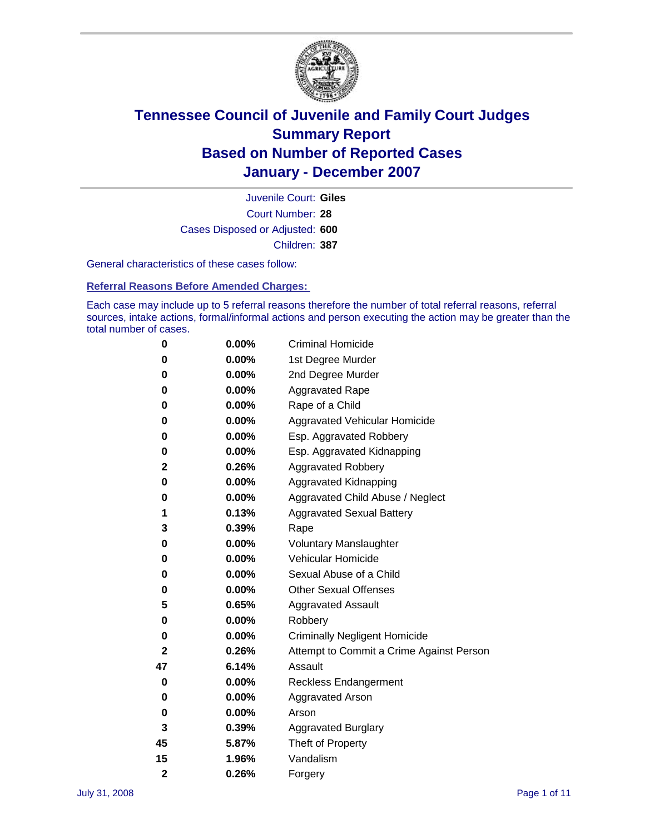

Court Number: **28** Juvenile Court: **Giles** Cases Disposed or Adjusted: **600** Children: **387**

General characteristics of these cases follow:

**Referral Reasons Before Amended Charges:** 

Each case may include up to 5 referral reasons therefore the number of total referral reasons, referral sources, intake actions, formal/informal actions and person executing the action may be greater than the total number of cases.

| 0              | 0.00%    | <b>Criminal Homicide</b>                 |  |  |
|----------------|----------|------------------------------------------|--|--|
| 0              | 0.00%    | 1st Degree Murder                        |  |  |
| 0              | 0.00%    | 2nd Degree Murder                        |  |  |
| 0              | 0.00%    | <b>Aggravated Rape</b>                   |  |  |
| 0              | 0.00%    | Rape of a Child                          |  |  |
| 0              | 0.00%    | Aggravated Vehicular Homicide            |  |  |
| 0              | 0.00%    | Esp. Aggravated Robbery                  |  |  |
| 0              | 0.00%    | Esp. Aggravated Kidnapping               |  |  |
| 2              | 0.26%    | <b>Aggravated Robbery</b>                |  |  |
| 0              | 0.00%    | Aggravated Kidnapping                    |  |  |
| 0              | 0.00%    | Aggravated Child Abuse / Neglect         |  |  |
| 1              | 0.13%    | <b>Aggravated Sexual Battery</b>         |  |  |
| 3              | 0.39%    | Rape                                     |  |  |
| 0              | 0.00%    | <b>Voluntary Manslaughter</b>            |  |  |
| 0              | 0.00%    | Vehicular Homicide                       |  |  |
| 0              | $0.00\%$ | Sexual Abuse of a Child                  |  |  |
| 0              | 0.00%    | <b>Other Sexual Offenses</b>             |  |  |
| 5              | 0.65%    | <b>Aggravated Assault</b>                |  |  |
| 0              | 0.00%    | Robbery                                  |  |  |
| 0              | $0.00\%$ | <b>Criminally Negligent Homicide</b>     |  |  |
| $\mathbf{2}$   | 0.26%    | Attempt to Commit a Crime Against Person |  |  |
| 47             | 6.14%    | Assault                                  |  |  |
| 0              | 0.00%    | <b>Reckless Endangerment</b>             |  |  |
| 0              | $0.00\%$ | <b>Aggravated Arson</b>                  |  |  |
| 0              | 0.00%    | Arson                                    |  |  |
| 3              | 0.39%    | <b>Aggravated Burglary</b>               |  |  |
| 45             | 5.87%    | Theft of Property                        |  |  |
| 15             | 1.96%    | Vandalism                                |  |  |
| $\overline{2}$ | 0.26%    | Forgery                                  |  |  |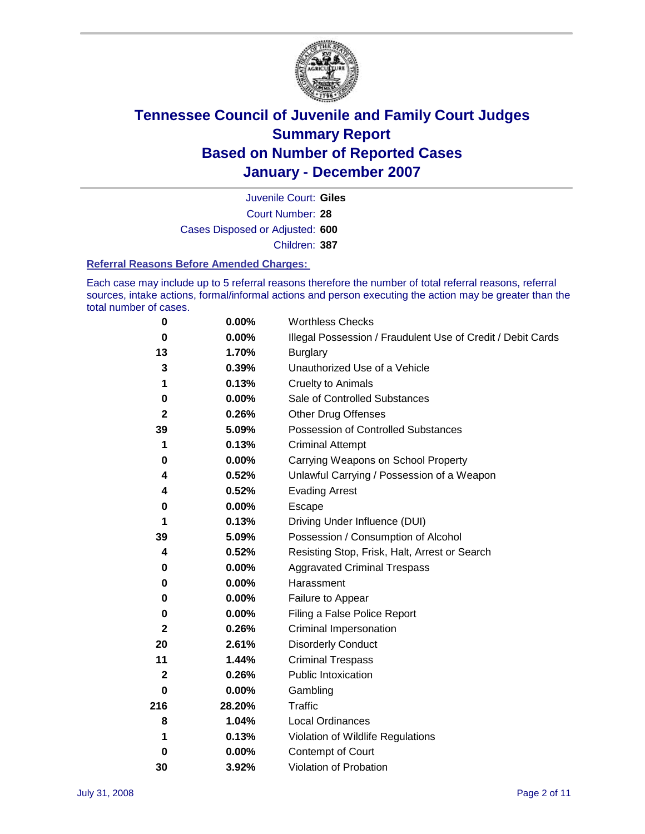

Court Number: **28** Juvenile Court: **Giles** Cases Disposed or Adjusted: **600** Children: **387**

#### **Referral Reasons Before Amended Charges:**

Each case may include up to 5 referral reasons therefore the number of total referral reasons, referral sources, intake actions, formal/informal actions and person executing the action may be greater than the total number of cases.

| 0            | 0.00%    | <b>Worthless Checks</b>                                     |
|--------------|----------|-------------------------------------------------------------|
| 0            | 0.00%    | Illegal Possession / Fraudulent Use of Credit / Debit Cards |
| 13           | 1.70%    | <b>Burglary</b>                                             |
| 3            | 0.39%    | Unauthorized Use of a Vehicle                               |
| 1            | 0.13%    | <b>Cruelty to Animals</b>                                   |
| 0            | $0.00\%$ | Sale of Controlled Substances                               |
| $\mathbf 2$  | 0.26%    | <b>Other Drug Offenses</b>                                  |
| 39           | 5.09%    | <b>Possession of Controlled Substances</b>                  |
| 1            | 0.13%    | <b>Criminal Attempt</b>                                     |
| 0            | 0.00%    | Carrying Weapons on School Property                         |
| 4            | 0.52%    | Unlawful Carrying / Possession of a Weapon                  |
| 4            | 0.52%    | <b>Evading Arrest</b>                                       |
| 0            | 0.00%    | Escape                                                      |
| 1            | 0.13%    | Driving Under Influence (DUI)                               |
| 39           | 5.09%    | Possession / Consumption of Alcohol                         |
| 4            | 0.52%    | Resisting Stop, Frisk, Halt, Arrest or Search               |
| 0            | 0.00%    | <b>Aggravated Criminal Trespass</b>                         |
| 0            | 0.00%    | Harassment                                                  |
| $\bf{0}$     | 0.00%    | Failure to Appear                                           |
| 0            | 0.00%    | Filing a False Police Report                                |
| $\mathbf{2}$ | 0.26%    | Criminal Impersonation                                      |
| 20           | 2.61%    | <b>Disorderly Conduct</b>                                   |
| 11           | 1.44%    | <b>Criminal Trespass</b>                                    |
| $\mathbf 2$  | 0.26%    | <b>Public Intoxication</b>                                  |
| 0            | 0.00%    | Gambling                                                    |
| 216          | 28.20%   | Traffic                                                     |
| 8            | 1.04%    | <b>Local Ordinances</b>                                     |
| 1            | 0.13%    | Violation of Wildlife Regulations                           |
| 0            | 0.00%    | Contempt of Court                                           |
| 30           | 3.92%    | Violation of Probation                                      |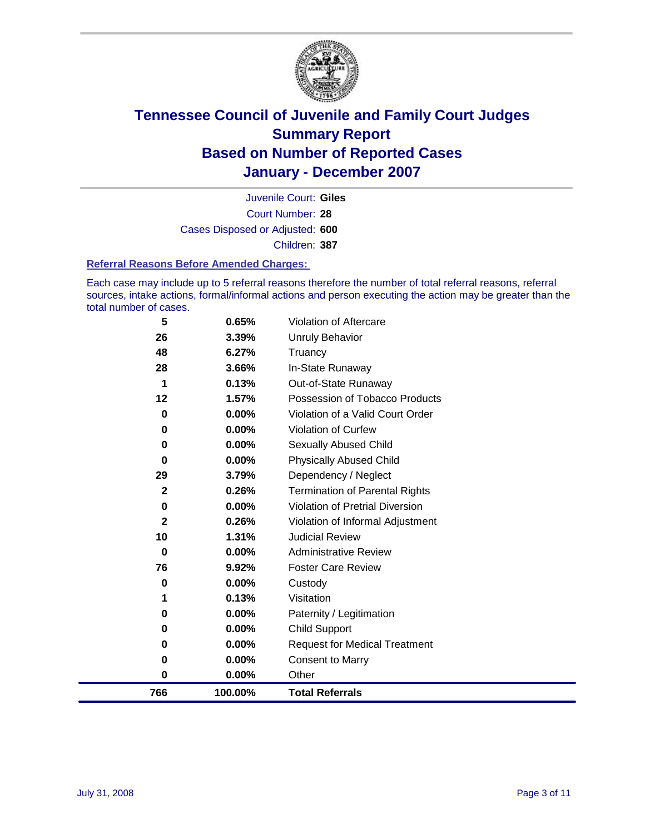

Court Number: **28** Juvenile Court: **Giles** Cases Disposed or Adjusted: **600** Children: **387**

#### **Referral Reasons Before Amended Charges:**

Each case may include up to 5 referral reasons therefore the number of total referral reasons, referral sources, intake actions, formal/informal actions and person executing the action may be greater than the total number of cases.

| 766          | 100.00%        | <b>Total Referrals</b>                 |
|--------------|----------------|----------------------------------------|
| 0            | 0.00%          | Other                                  |
| 0            | 0.00%          | <b>Consent to Marry</b>                |
| 0            | 0.00%          | <b>Request for Medical Treatment</b>   |
| 0            | 0.00%          | <b>Child Support</b>                   |
| 0            | 0.00%          | Paternity / Legitimation               |
| 1            | 0.13%          | Visitation                             |
| 0            | 0.00%          | Custody                                |
| 76           | 9.92%          | <b>Foster Care Review</b>              |
| 0            | 0.00%          | <b>Administrative Review</b>           |
| 10           | 1.31%          | <b>Judicial Review</b>                 |
| $\mathbf{2}$ | 0.26%          | Violation of Informal Adjustment       |
| 0            | 0.00%          | <b>Violation of Pretrial Diversion</b> |
| $\mathbf{2}$ | 0.26%          | <b>Termination of Parental Rights</b>  |
| 29           | 3.79%          | Dependency / Neglect                   |
| 0            | 0.00%          | <b>Physically Abused Child</b>         |
| 0            | 0.00%          | Sexually Abused Child                  |
| 0            | 0.00%          | Violation of Curfew                    |
| 0            | 0.00%          | Violation of a Valid Court Order       |
| 12           | 1.57%          | Possession of Tobacco Products         |
| 1            | 0.13%          | Out-of-State Runaway                   |
| 48<br>28     | 6.27%<br>3.66% | Truancy<br>In-State Runaway            |
| 26           | 3.39%          | <b>Unruly Behavior</b>                 |
|              |                | Violation of Aftercare                 |
| 5            | 0.65%          |                                        |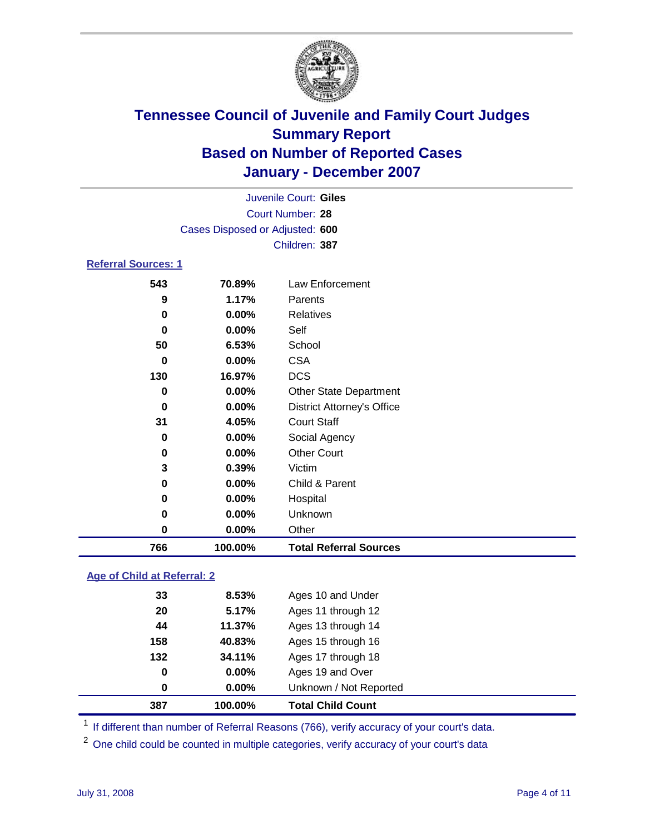

|                            | Juvenile Court: Giles           |                                   |  |  |
|----------------------------|---------------------------------|-----------------------------------|--|--|
|                            |                                 | Court Number: 28                  |  |  |
|                            | Cases Disposed or Adjusted: 600 |                                   |  |  |
|                            |                                 | Children: 387                     |  |  |
| <b>Referral Sources: 1</b> |                                 |                                   |  |  |
| 543                        | 70.89%                          | <b>Law Enforcement</b>            |  |  |
| 9                          | 1.17%                           | Parents                           |  |  |
| 0                          | $0.00\%$                        | <b>Relatives</b>                  |  |  |
| $\bf{0}$                   | 0.00%                           | Self                              |  |  |
| 50                         | 6.53%                           | School                            |  |  |
| $\bf{0}$                   | 0.00%                           | <b>CSA</b>                        |  |  |
| 130                        | 16.97%                          | <b>DCS</b>                        |  |  |
| $\mathbf 0$                | 0.00%                           | <b>Other State Department</b>     |  |  |
| 0                          | $0.00\%$                        | <b>District Attorney's Office</b> |  |  |
| 31                         | 4.05%                           | <b>Court Staff</b>                |  |  |
| 0                          | 0.00%                           | Social Agency                     |  |  |
| 0                          | 0.00%                           | <b>Other Court</b>                |  |  |
| 3                          | 0.39%                           | Victim                            |  |  |
| $\bf{0}$                   | $0.00\%$                        | Child & Parent                    |  |  |
| 0                          | $0.00\%$                        | Hospital                          |  |  |
| 0                          | 0.00%                           | Unknown                           |  |  |
| 0                          | 0.00%                           | Other                             |  |  |
| 766                        | 100.00%                         | <b>Total Referral Sources</b>     |  |  |

### **Age of Child at Referral: 2**

| 387 | 100.00%  | <b>Total Child Count</b> |
|-----|----------|--------------------------|
| 0   | 0.00%    | Unknown / Not Reported   |
| 0   | $0.00\%$ | Ages 19 and Over         |
| 132 | 34.11%   | Ages 17 through 18       |
| 158 | 40.83%   | Ages 15 through 16       |
| 44  | 11.37%   | Ages 13 through 14       |
| 20  | 5.17%    | Ages 11 through 12       |
| 33  | 8.53%    | Ages 10 and Under        |
|     |          |                          |

<sup>1</sup> If different than number of Referral Reasons (766), verify accuracy of your court's data.

One child could be counted in multiple categories, verify accuracy of your court's data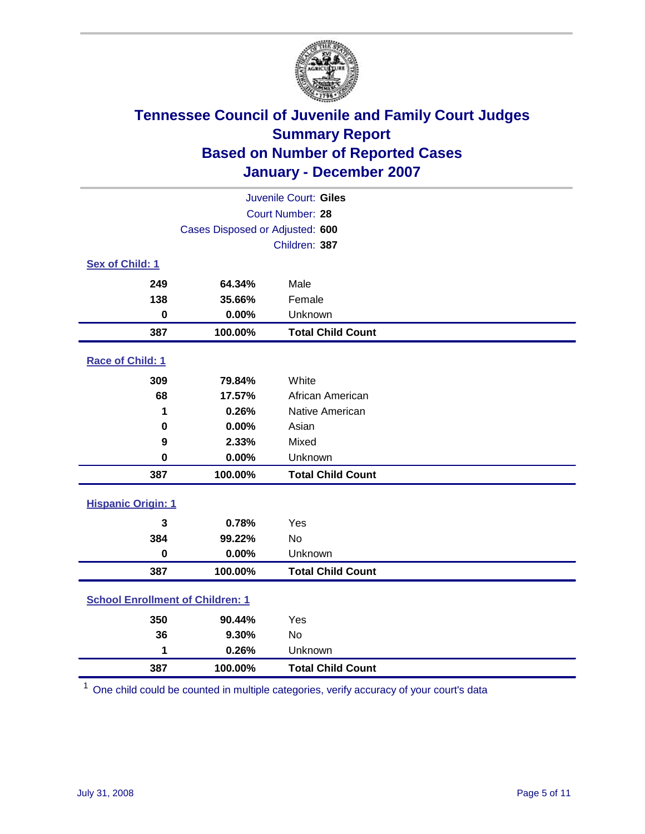

| Juvenile Court: Giles                   |                                 |                          |  |  |
|-----------------------------------------|---------------------------------|--------------------------|--|--|
| Court Number: 28                        |                                 |                          |  |  |
|                                         | Cases Disposed or Adjusted: 600 |                          |  |  |
|                                         |                                 | Children: 387            |  |  |
| Sex of Child: 1                         |                                 |                          |  |  |
| 249                                     | 64.34%                          | Male                     |  |  |
| 138                                     | 35.66%                          | Female                   |  |  |
| $\bf{0}$                                | 0.00%                           | Unknown                  |  |  |
| 387                                     | 100.00%                         | <b>Total Child Count</b> |  |  |
| Race of Child: 1                        |                                 |                          |  |  |
| 309                                     | 79.84%                          | White                    |  |  |
| 68                                      | 17.57%                          | African American         |  |  |
| 1                                       | 0.26%                           | Native American          |  |  |
| 0                                       | 0.00%                           | Asian                    |  |  |
| 9                                       | 2.33%                           | Mixed                    |  |  |
| 0                                       | 0.00%                           | Unknown                  |  |  |
| 387                                     | 100.00%                         | <b>Total Child Count</b> |  |  |
| <b>Hispanic Origin: 1</b>               |                                 |                          |  |  |
| 3                                       | 0.78%                           | Yes                      |  |  |
| 384                                     | 99.22%                          | <b>No</b>                |  |  |
| $\mathbf 0$                             | 0.00%                           | Unknown                  |  |  |
| 387                                     | 100.00%                         | <b>Total Child Count</b> |  |  |
| <b>School Enrollment of Children: 1</b> |                                 |                          |  |  |
|                                         |                                 |                          |  |  |
| 350                                     | 90.44%                          | Yes                      |  |  |
| 36<br>1                                 | 9.30%<br>0.26%                  | No<br>Unknown            |  |  |
|                                         |                                 |                          |  |  |
| 387                                     | 100.00%                         | <b>Total Child Count</b> |  |  |

One child could be counted in multiple categories, verify accuracy of your court's data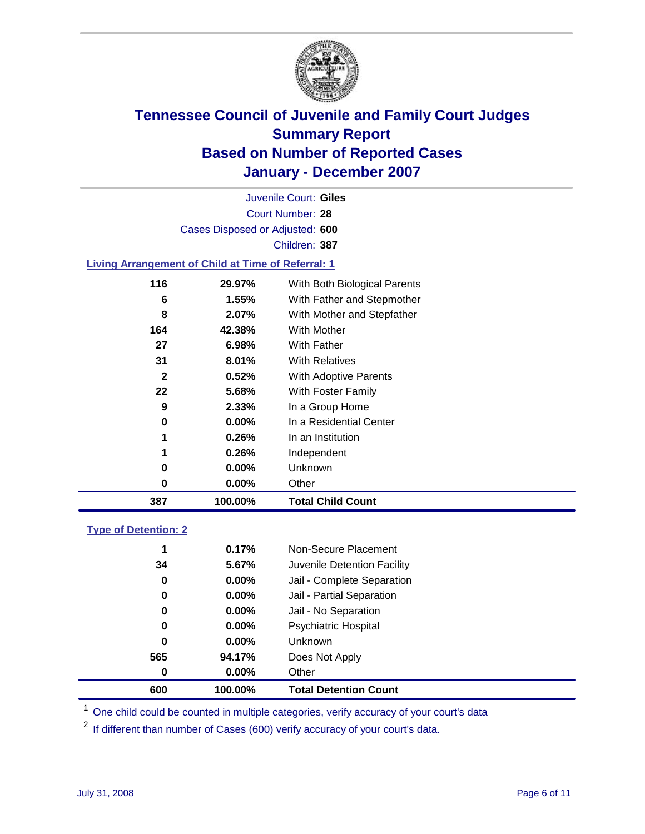

Court Number: **28** Juvenile Court: **Giles** Cases Disposed or Adjusted: **600** Children: **387**

#### **Living Arrangement of Child at Time of Referral: 1**

| 387 | 100.00%  | <b>Total Child Count</b>     |
|-----|----------|------------------------------|
| 0   | 0.00%    | Other                        |
| 0   | 0.00%    | Unknown                      |
| 1   | $0.26\%$ | Independent                  |
| 1   | 0.26%    | In an Institution            |
| 0   | $0.00\%$ | In a Residential Center      |
| 9   | 2.33%    | In a Group Home              |
| 22  | 5.68%    | With Foster Family           |
| 2   | 0.52%    | With Adoptive Parents        |
| 31  | 8.01%    | <b>With Relatives</b>        |
| 27  | 6.98%    | With Father                  |
| 164 | 42.38%   | <b>With Mother</b>           |
| 8   | 2.07%    | With Mother and Stepfather   |
| 6   | 1.55%    | With Father and Stepmother   |
| 116 | 29.97%   | With Both Biological Parents |
|     |          |                              |

#### **Type of Detention: 2**

| 600 | 100.00%  | <b>Total Detention Count</b> |  |
|-----|----------|------------------------------|--|
| 0   | 0.00%    | Other                        |  |
| 565 | 94.17%   | Does Not Apply               |  |
| 0   | $0.00\%$ | <b>Unknown</b>               |  |
| 0   | 0.00%    | <b>Psychiatric Hospital</b>  |  |
| 0   | $0.00\%$ | Jail - No Separation         |  |
| 0   | $0.00\%$ | Jail - Partial Separation    |  |
| 0   | $0.00\%$ | Jail - Complete Separation   |  |
| 34  | 5.67%    | Juvenile Detention Facility  |  |
| 1   | 0.17%    | Non-Secure Placement         |  |
|     |          |                              |  |

<sup>1</sup> One child could be counted in multiple categories, verify accuracy of your court's data

<sup>2</sup> If different than number of Cases (600) verify accuracy of your court's data.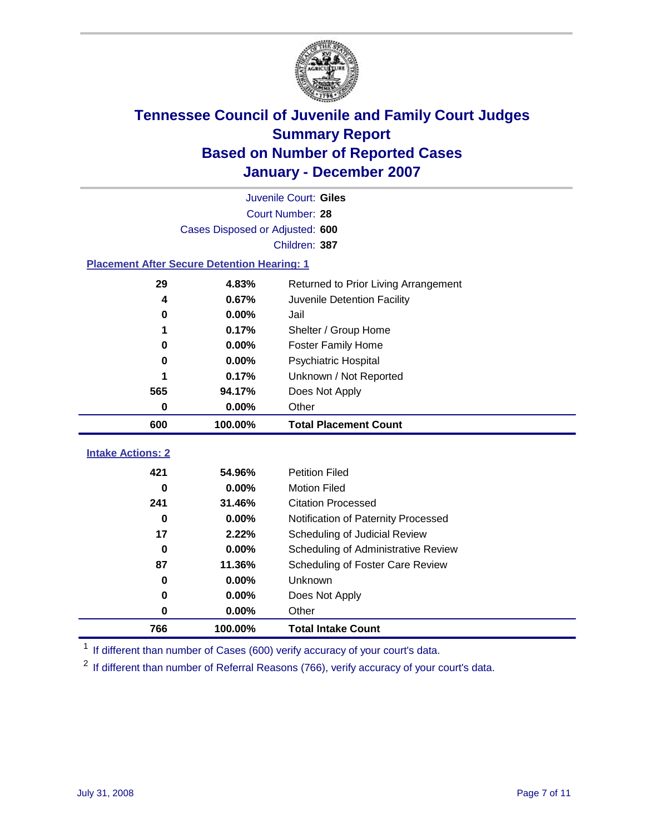

|                                                    | Juvenile Court: Giles           |                                      |  |  |  |
|----------------------------------------------------|---------------------------------|--------------------------------------|--|--|--|
|                                                    | Court Number: 28                |                                      |  |  |  |
|                                                    | Cases Disposed or Adjusted: 600 |                                      |  |  |  |
|                                                    |                                 | Children: 387                        |  |  |  |
| <b>Placement After Secure Detention Hearing: 1</b> |                                 |                                      |  |  |  |
| 29                                                 | 4.83%                           | Returned to Prior Living Arrangement |  |  |  |
| 4                                                  | 0.67%                           | Juvenile Detention Facility          |  |  |  |
| 0                                                  | 0.00%                           | Jail                                 |  |  |  |
| 1                                                  | 0.17%                           | Shelter / Group Home                 |  |  |  |
| 0                                                  | 0.00%                           | <b>Foster Family Home</b>            |  |  |  |
| 0                                                  | 0.00%                           | Psychiatric Hospital                 |  |  |  |
| 1                                                  | 0.17%                           | Unknown / Not Reported               |  |  |  |
| 565                                                | 94.17%                          | Does Not Apply                       |  |  |  |
| $\mathbf 0$                                        | 0.00%                           | Other                                |  |  |  |
| 600                                                | 100.00%                         | <b>Total Placement Count</b>         |  |  |  |
| <b>Intake Actions: 2</b>                           |                                 |                                      |  |  |  |
|                                                    |                                 |                                      |  |  |  |
| 421                                                | 54.96%                          | <b>Petition Filed</b>                |  |  |  |
| 0                                                  | 0.00%                           | <b>Motion Filed</b>                  |  |  |  |
| 241                                                | 31.46%                          | <b>Citation Processed</b>            |  |  |  |
| $\bf{0}$                                           | $0.00\%$                        | Notification of Paternity Processed  |  |  |  |
| 17                                                 | 2.22%                           | Scheduling of Judicial Review        |  |  |  |
| $\bf{0}$                                           | 0.00%                           | Scheduling of Administrative Review  |  |  |  |
| 87                                                 | 11.36%                          | Scheduling of Foster Care Review     |  |  |  |
| 0                                                  | 0.00%                           | <b>Unknown</b>                       |  |  |  |
| 0                                                  | 0.00%                           | Does Not Apply                       |  |  |  |
| 0                                                  | 0.00%                           | Other                                |  |  |  |
| 766                                                | 100.00%                         | <b>Total Intake Count</b>            |  |  |  |

<sup>1</sup> If different than number of Cases (600) verify accuracy of your court's data.

<sup>2</sup> If different than number of Referral Reasons (766), verify accuracy of your court's data.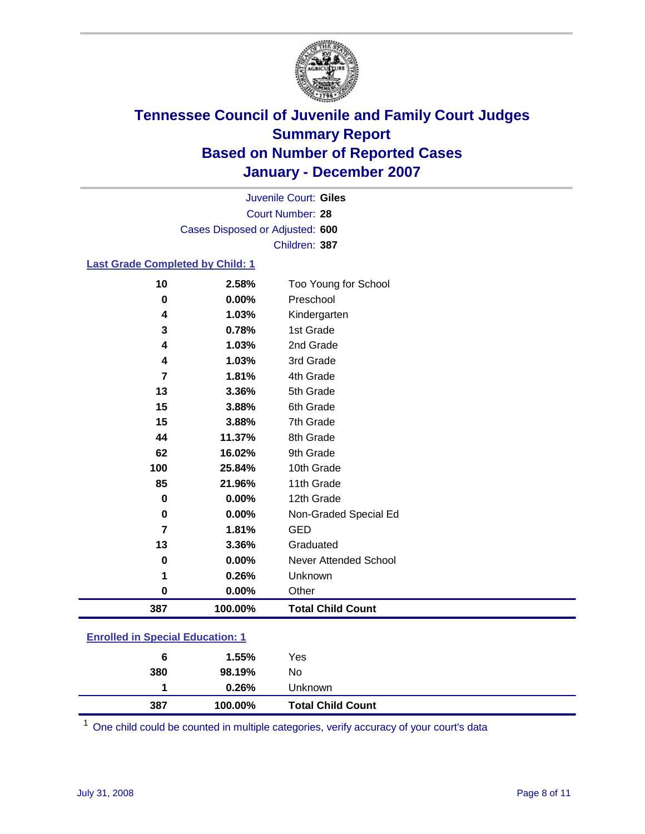

Court Number: **28** Juvenile Court: **Giles** Cases Disposed or Adjusted: **600** Children: **387**

### **Last Grade Completed by Child: 1**

| 10  | 2.58%   | Too Young for School     |
|-----|---------|--------------------------|
| 0   | 0.00%   | Preschool                |
| 4   | 1.03%   | Kindergarten             |
| 3   | 0.78%   | 1st Grade                |
| 4   | 1.03%   | 2nd Grade                |
| 4   | 1.03%   | 3rd Grade                |
| 7   | 1.81%   | 4th Grade                |
| 13  | 3.36%   | 5th Grade                |
| 15  | 3.88%   | 6th Grade                |
| 15  | 3.88%   | 7th Grade                |
| 44  | 11.37%  | 8th Grade                |
| 62  | 16.02%  | 9th Grade                |
| 100 | 25.84%  | 10th Grade               |
| 85  | 21.96%  | 11th Grade               |
| 0   | 0.00%   | 12th Grade               |
| 0   | 0.00%   | Non-Graded Special Ed    |
| 7   | 1.81%   | <b>GED</b>               |
| 13  | 3.36%   | Graduated                |
| 0   | 0.00%   | Never Attended School    |
|     | 0.26%   | Unknown                  |
| 0   | 0.00%   | Other                    |
| 387 | 100.00% | <b>Total Child Count</b> |

### **Enrolled in Special Education: 1**

| 387 | 100.00% | <b>Total Child Count</b> |  |
|-----|---------|--------------------------|--|
|     | 0.26%   | Unknown                  |  |
| 380 | 98.19%  | No                       |  |
| 6   | 1.55%   | Yes                      |  |
|     |         |                          |  |

<sup>1</sup> One child could be counted in multiple categories, verify accuracy of your court's data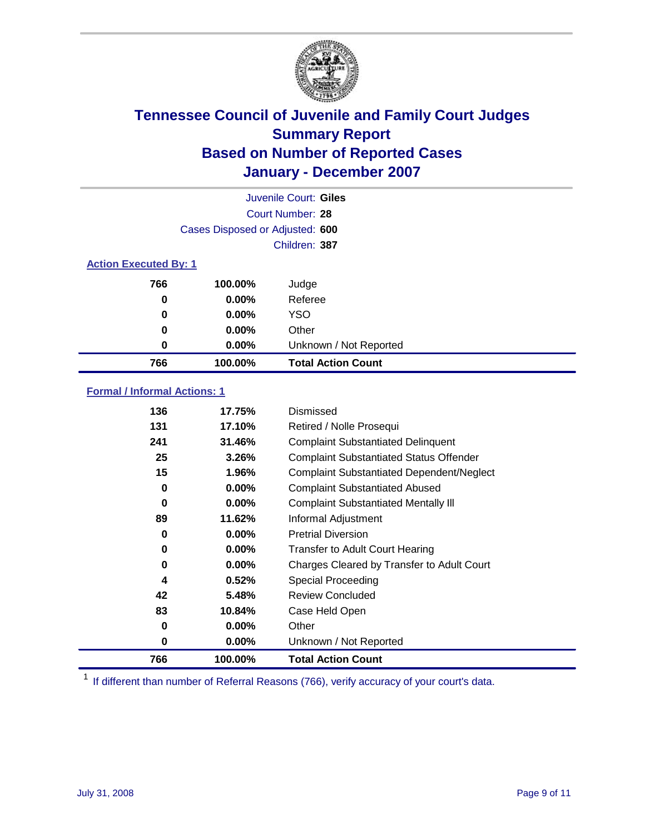

| Juvenile Court: Giles        |                                 |                           |  |  |  |
|------------------------------|---------------------------------|---------------------------|--|--|--|
|                              | Court Number: 28                |                           |  |  |  |
|                              | Cases Disposed or Adjusted: 600 |                           |  |  |  |
|                              |                                 | Children: 387             |  |  |  |
| <b>Action Executed By: 1</b> |                                 |                           |  |  |  |
| 766                          | 100.00%                         | Judge                     |  |  |  |
| 0                            | $0.00\%$                        | Referee                   |  |  |  |
| 0                            | $0.00\%$                        | <b>YSO</b>                |  |  |  |
| 0                            | $0.00\%$                        | Other                     |  |  |  |
| 0                            | $0.00\%$                        | Unknown / Not Reported    |  |  |  |
| 766                          | 100.00%                         | <b>Total Action Count</b> |  |  |  |

### **Formal / Informal Actions: 1**

| 136 | 17.75%   | Dismissed                                        |
|-----|----------|--------------------------------------------------|
| 131 | 17.10%   | Retired / Nolle Prosequi                         |
| 241 | 31.46%   | <b>Complaint Substantiated Delinquent</b>        |
| 25  | 3.26%    | <b>Complaint Substantiated Status Offender</b>   |
| 15  | 1.96%    | <b>Complaint Substantiated Dependent/Neglect</b> |
| 0   | $0.00\%$ | <b>Complaint Substantiated Abused</b>            |
| 0   | $0.00\%$ | <b>Complaint Substantiated Mentally III</b>      |
| 89  | 11.62%   | Informal Adjustment                              |
| 0   | $0.00\%$ | <b>Pretrial Diversion</b>                        |
| 0   | $0.00\%$ | <b>Transfer to Adult Court Hearing</b>           |
| 0   | $0.00\%$ | Charges Cleared by Transfer to Adult Court       |
| 4   | 0.52%    | Special Proceeding                               |
| 42  | 5.48%    | <b>Review Concluded</b>                          |
| 83  | 10.84%   | Case Held Open                                   |
| 0   | $0.00\%$ | Other                                            |
| 0   | $0.00\%$ | Unknown / Not Reported                           |
| 766 | 100.00%  | <b>Total Action Count</b>                        |

<sup>1</sup> If different than number of Referral Reasons (766), verify accuracy of your court's data.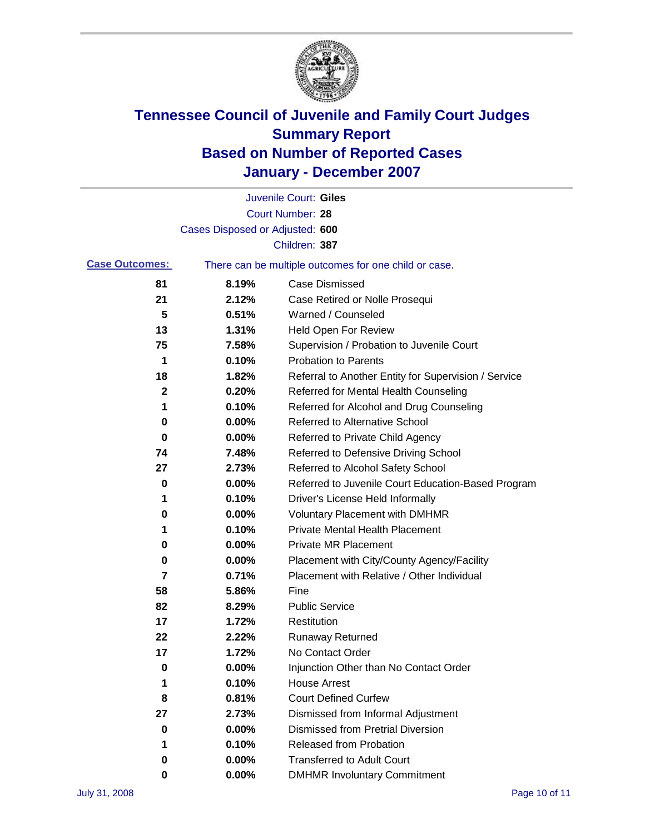

|                       |                                 | Juvenile Court: Giles                                 |
|-----------------------|---------------------------------|-------------------------------------------------------|
|                       |                                 | <b>Court Number: 28</b>                               |
|                       | Cases Disposed or Adjusted: 600 |                                                       |
|                       |                                 | Children: 387                                         |
| <b>Case Outcomes:</b> |                                 | There can be multiple outcomes for one child or case. |
| 81                    | 8.19%                           | <b>Case Dismissed</b>                                 |
| 21                    | 2.12%                           | Case Retired or Nolle Prosequi                        |
| 5                     | 0.51%                           | Warned / Counseled                                    |
| 13                    | 1.31%                           | Held Open For Review                                  |
| 75                    | 7.58%                           | Supervision / Probation to Juvenile Court             |
| 1                     | 0.10%                           | <b>Probation to Parents</b>                           |
| 18                    | 1.82%                           | Referral to Another Entity for Supervision / Service  |
| 2                     | 0.20%                           | Referred for Mental Health Counseling                 |
| 1                     | 0.10%                           | Referred for Alcohol and Drug Counseling              |
| 0                     | 0.00%                           | <b>Referred to Alternative School</b>                 |
| 0                     | 0.00%                           | Referred to Private Child Agency                      |
| 74                    | 7.48%                           | Referred to Defensive Driving School                  |
| 27                    | 2.73%                           | Referred to Alcohol Safety School                     |
| 0                     | 0.00%                           | Referred to Juvenile Court Education-Based Program    |
| 1                     | 0.10%                           | Driver's License Held Informally                      |
| 0                     | 0.00%                           | <b>Voluntary Placement with DMHMR</b>                 |
| 1                     | 0.10%                           | <b>Private Mental Health Placement</b>                |
| 0                     | 0.00%                           | <b>Private MR Placement</b>                           |
| 0                     | 0.00%                           | Placement with City/County Agency/Facility            |
| $\overline{7}$        | 0.71%                           | Placement with Relative / Other Individual            |
| 58                    | 5.86%                           | Fine                                                  |
| 82                    | 8.29%                           | <b>Public Service</b>                                 |
| 17                    | 1.72%                           | Restitution                                           |
| 22                    | 2.22%                           | <b>Runaway Returned</b>                               |
| 17                    | 1.72%                           | No Contact Order                                      |
| 0                     | $0.00\%$                        | Injunction Other than No Contact Order                |
| 1                     | 0.10%                           | <b>House Arrest</b>                                   |
| 8                     | 0.81%                           | <b>Court Defined Curfew</b>                           |
| 27                    | 2.73%                           | Dismissed from Informal Adjustment                    |
| 0                     | 0.00%                           | <b>Dismissed from Pretrial Diversion</b>              |
| 1                     | 0.10%                           | <b>Released from Probation</b>                        |
| 0                     | 0.00%                           | <b>Transferred to Adult Court</b>                     |
| 0                     | 0.00%                           | <b>DMHMR Involuntary Commitment</b>                   |